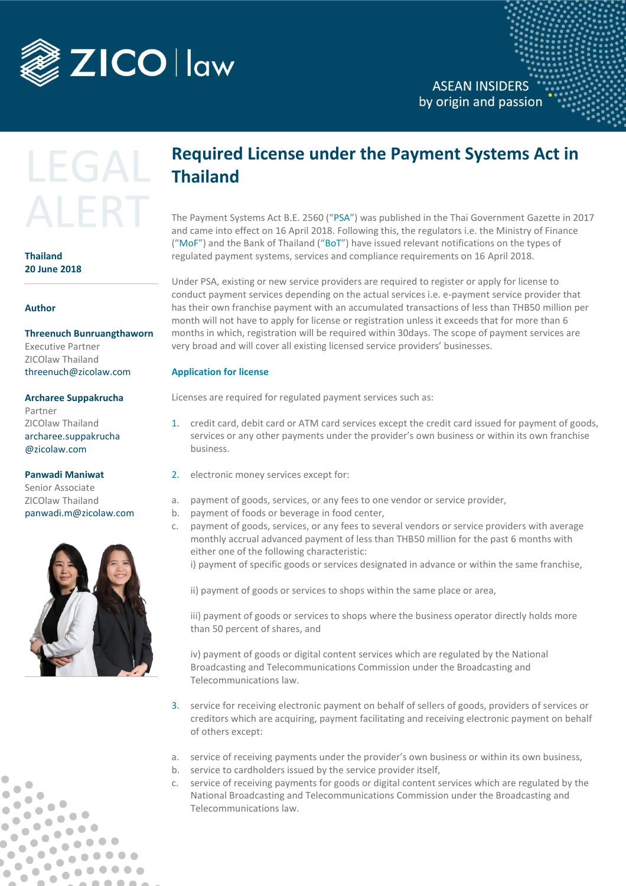

# LEGAL AI FRT

**Thailand 20 June 2018**

#### **Author**

**Threenuch Bunruangthaworn** Executive Partner

ZICOlaw Thailand [threenuch@zicolaw.com](mailto:threenuch@zicolaw.com)

#### **Archaree Suppakrucha**

Partner ZICOlaw Thailand archaree.suppakrucha @zicolaw.com

#### **Panwadi Maniwat**

Senior Associate ZICOlaw Thailand [panwadi.m@zicolaw.com](mailto:panwadi.m@zicolaw.com)



 $\bullet$ 

 $\bullet$ 

**COL** 

 $\bullet$ 

 $\bullet$   $\bullet$ 

 $\bullet$   $\bullet$ 

 $\bullet$   $\bullet$ 

 $\overline{\phantom{a}}$ 

 $\bullet$ 

 $\bullet$ 

 $\bullet$ Ô

 $\bullet$ 

 $\bullet$  $\bullet$ b

 $\bullet$  $\bullet$  $\bullet$ 

## **Required License under the Payment Systems Act in Thailand**

The Payment Systems Act B.E. 2560 ("PSA") was published in the Thai Government Gazette in 2017 and came into effect on 16 April 2018. Following this, the regulators i.e. the Ministry of Finance ("MoF") and the Bank of Thailand ("BoT") have issued relevant notifications on the types of regulated payment systems, services and compliance requirements on 16 April 2018.

Under PSA, existing or new service providers are required to register or apply for license to conduct payment services depending on the actual services i.e. e-payment service provider that has their own franchise payment with an accumulated transactions of less than THB50 million per month will not have to apply for license or registration unless it exceeds that for more than 6 months in which, registration will be required within 30days. The scope of payment services are very broad and will cover all existing licensed service providers' businesses.

### **Application for license**

Licenses are required for regulated payment services such as:

- 1. credit card, debit card or ATM card services except the credit card issued for payment of goods, services or any other payments under the provider's own business or within its own franchise business.
- 2. electronic money services except for:
- a. payment of goods, services, or any fees to one vendor or service provider,
- b. payment of foods or beverage in food center,
- c. payment of goods, services, or any fees to several vendors or service providers with average monthly accrual advanced payment of less than THB50 million for the past 6 months with either one of the following characteristic:

i) payment of specific goods or services designated in advance or within the same franchise,

ii) payment of goods or services to shops within the same place or area,

iii) payment of goods or services to shops where the business operator directly holds more than 50 percent of shares, and

iv) payment of goods or digital content services which are regulated by the National Broadcasting and Telecommunications Commission under the Broadcasting and Telecommunications law.

- 3. service for receiving electronic payment on behalf of sellers of goods, providers of services or creditors which are acquiring, payment facilitating and receiving electronic payment on behalf of others except:
- a. service of receiving payments under the provider's own business or within its own business,
- b. service to cardholders issued by the service provider itself,
- c. service of receiving payments for goods or digital content services which are regulated by the National Broadcasting and Telecommunications Commission under the Broadcasting and Telecommunications law.